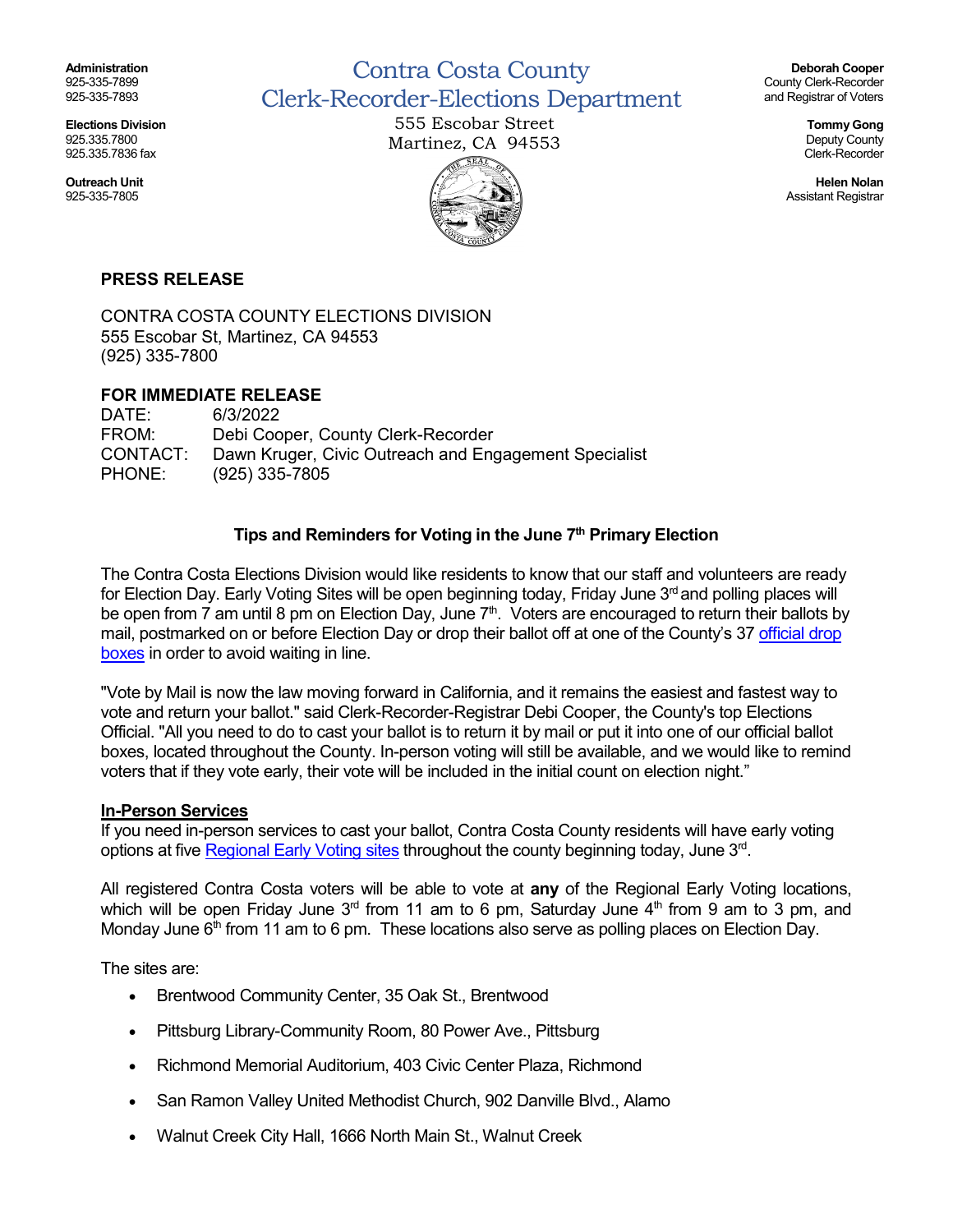Administration 925-335-7899 925-335-7893

Contra Costa County Clerk-Recorder-Elections Department

> 555 Escobar Street Martinez, CA 94553



Deborah Cooper County Clerk-Recorder and Registrar of Voters

> Tommy Gong Deputy County Clerk-Recorder

Helen Nolan Assistant Registrar

PRESS RELEASE

CONTRA COSTA COUNTY ELECTIONS DIVISION 555 Escobar St, Martinez, CA 94553 (925) 335-7800

#### FOR IMMEDIATE RELEASE

DATE: 6/3/2022 FROM: Debi Cooper, County Clerk-Recorder CONTACT: Dawn Kruger, Civic Outreach and Engagement Specialist PHONE: (925) 335-7805

#### Tips and Reminders for Voting in the June 7<sup>th</sup> Primary Election

The Contra Costa Elections Division would like residents to know that our staff and volunteers are ready for Election Day. Early Voting Sites will be open beginning today, Friday June 3<sup>rd</sup> and polling places will be open from 7 am until 8 pm on Election Day, June  $7<sup>th</sup>$ . Voters are encouraged to return their ballots by mail, postmarked on or before Election Day or drop their ballot off at one of the County's 37 official drop boxes in order to avoid waiting in line.

"Vote by Mail is now the law moving forward in California, and it remains the easiest and fastest way to vote and return your ballot." said Clerk-Recorder-Registrar Debi Cooper, the County's top Elections Official. "All you need to do to cast your ballot is to return it by mail or put it into one of our official ballot boxes, located throughout the County. In-person voting will still be available, and we would like to remind voters that if they vote early, their vote will be included in the initial count on election night."

#### In-Person Services

If you need in-person services to cast your ballot, Contra Costa County residents will have early voting options at five [Regional Early Voting sites](http://www.cocovote.us/REV) throughout the county beginning today, June 3<sup>rd</sup>.

All registered Contra Costa voters will be able to vote at any of the Regional Early Voting locations, which will be open Friday June  $3<sup>rd</sup>$  from 11 am to 6 pm, Saturday June  $4<sup>th</sup>$  from 9 am to 3 pm, and Monday June  $6<sup>th</sup>$  from 11 am to 6 pm. These locations also serve as polling places on Election Day.

The sites are:

- Brentwood Community Center, 35 Oak St., Brentwood
- Pittsburg Library-Community Room, 80 Power Ave., Pittsburg
- Richmond Memorial Auditorium, 403 Civic Center Plaza, Richmond
- San Ramon Valley United Methodist Church, 902 Danville Blvd., Alamo
- Walnut Creek City Hall, 1666 North Main St., Walnut Creek

Elections Division 925.335.7800 925.335.7836 fax

Outreach Unit 925-335-7805